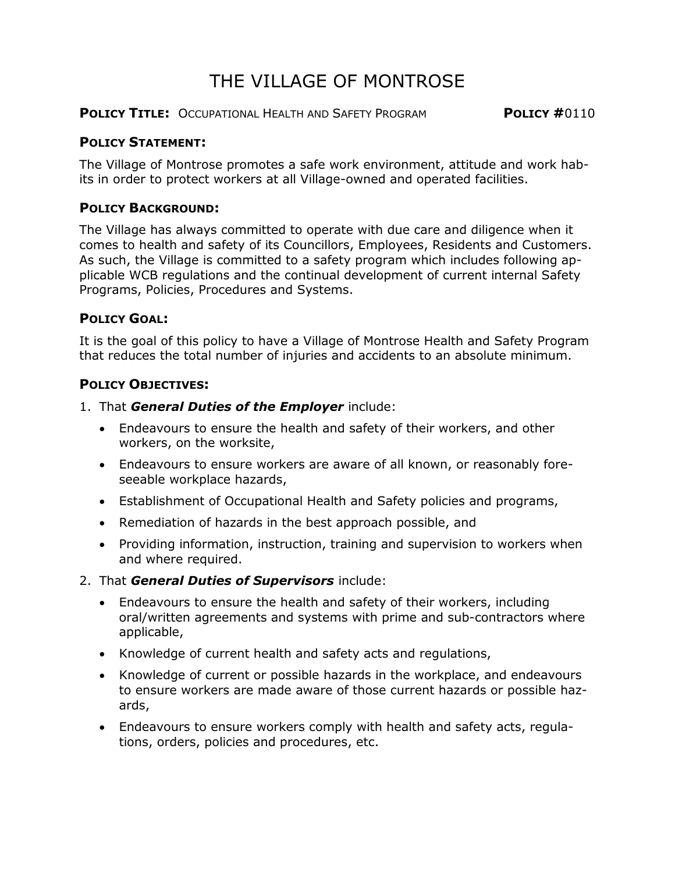# THE VILLAGE OF MONTROSE

**POLICY TITLE:** OCCUPATIONAL HEALTH AND SAFETY PROGRAM **POLICY #**0110

### **POLICY STATEMENT:**

The Village of Montrose promotes a safe work environment, attitude and work habits in order to protect workers at all Village-owned and operated facilities.

## **POLICY BACKGROUND:**

The Village has always committed to operate with due care and diligence when it comes to health and safety of its Councillors, Employees, Residents and Customers. As such, the Village is committed to a safety program which includes following applicable WCB regulations and the continual development of current internal Safety Programs, Policies, Procedures and Systems.

## **POLICY GOAL:**

It is the goal of this policy to have a Village of Montrose Health and Safety Program that reduces the total number of injuries and accidents to an absolute minimum.

## **POLICY OBJECTIVES:**

- 1. That *General Duties of the Employer* include:
	- Endeavours to ensure the health and safety of their workers, and other workers, on the worksite,
	- Endeavours to ensure workers are aware of all known, or reasonably foreseeable workplace hazards,
	- Establishment of Occupational Health and Safety policies and programs,
	- Remediation of hazards in the best approach possible, and
	- Providing information, instruction, training and supervision to workers when and where required.
- 2. That *General Duties of Supervisors* include:
	- Endeavours to ensure the health and safety of their workers, including oral/written agreements and systems with prime and sub-contractors where applicable,
	- Knowledge of current health and safety acts and regulations,
	- Knowledge of current or possible hazards in the workplace, and endeavours to ensure workers are made aware of those current hazards or possible hazards,
	- Endeavours to ensure workers comply with health and safety acts, regulations, orders, policies and procedures, etc.